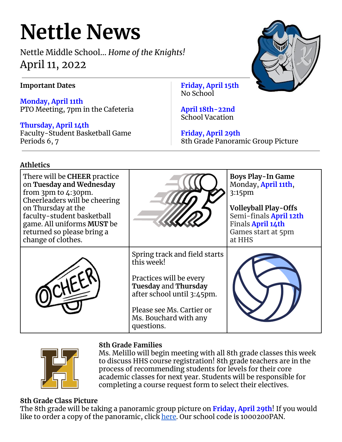# **Nettle News**

Nettle Middle School… *Home of the Knights!* April 11, 2022

# **Important Dates**

**Monday, April 11th** PTO Meeting, 7pm in the Cafeteria

**Thursday, April 14th** Faculty-Student Basketball Game Periods 6, 7

**Friday, April 15th** No School

**April 18th-22nd** School Vacation

**Friday, April 29th** 8th Grade Panoramic Group Picture

# **Athletics**

| There will be CHEER practice<br>on Tuesday and Wednesday<br>from $3pm$ to $4:30pm$ .<br>Cheerleaders will be cheering<br>on Thursday at the<br>faculty-student basketball<br>game. All uniforms MUST be<br>returned so please bring a<br>change of clothes. |                                                                                                                                                                                                         | <b>Boys Play-In Game</b><br>Monday, April 11th,<br>3:15pm<br><b>Volleyball Play-Offs</b><br>Semi-finals April 12th<br>Finals April 14th<br>Games start at 5pm<br>at HHS |
|-------------------------------------------------------------------------------------------------------------------------------------------------------------------------------------------------------------------------------------------------------------|---------------------------------------------------------------------------------------------------------------------------------------------------------------------------------------------------------|-------------------------------------------------------------------------------------------------------------------------------------------------------------------------|
|                                                                                                                                                                                                                                                             | Spring track and field starts<br>this week!<br>Practices will be every<br><b>Tuesday and Thursday</b><br>after school until 3:45pm.<br>Please see Ms. Cartier or<br>Ms. Bouchard with any<br>questions. |                                                                                                                                                                         |



## **8th Grade Families**

Ms. Melillo will begin meeting with all 8th grade classes this week to discuss HHS course registration! 8th grade teachers are in the process of recommending students for levels for their core academic classes for next year. Students will be responsible for completing a course request form to select their electives.

## **8th Grade Class Picture**

The 8th grade will be taking a panoramic group picture on **Friday, April 29th**! If you would like to order a copy of the panoramic, click [here.](https://www.barksdalestorefront.com/shop/login/?ac=1000200PAN) Our school code is 1000200PAN.